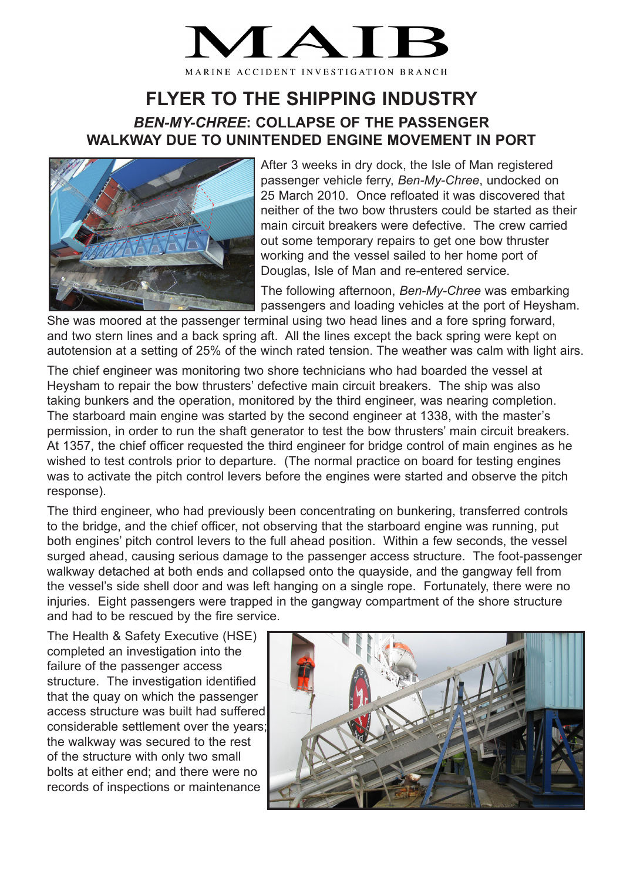## MARINE ACCIDENT INVESTIGATION BRANCH

## **FLYER TO THE SHIPPING INDUSTRY** *BEN-MY-CHREE***: COLLAPSE OF THE PASSENGER WALKWAY DUE TO UNINTENDED ENGINE MOVEMENT IN PORT**



After 3 weeks in dry dock, the Isle of Man registered passenger vehicle ferry, *Ben-My-Chree*, undocked on 25 March 2010. Once refloated it was discovered that neither of the two bow thrusters could be started as their main circuit breakers were defective. The crew carried out some temporary repairs to get one bow thruster working and the vessel sailed to her home port of Douglas, Isle of Man and re-entered service.

The following afternoon, *Ben-My-Chree* was embarking passengers and loading vehicles at the port of Heysham.

She was moored at the passenger terminal using two head lines and a fore spring forward, and two stern lines and a back spring aft. All the lines except the back spring were kept on autotension at a setting of 25% of the winch rated tension. The weather was calm with light airs.

The chief engineer was monitoring two shore technicians who had boarded the vessel at Heysham to repair the bow thrusters' defective main circuit breakers. The ship was also taking bunkers and the operation, monitored by the third engineer, was nearing completion. The starboard main engine was started by the second engineer at 1338, with the master's permission, in order to run the shaft generator to test the bow thrusters' main circuit breakers. At 1357, the chief officer requested the third engineer for bridge control of main engines as he wished to test controls prior to departure. (The normal practice on board for testing engines was to activate the pitch control levers before the engines were started and observe the pitch response).

The third engineer, who had previously been concentrating on bunkering, transferred controls to the bridge, and the chief officer, not observing that the starboard engine was running, put both engines' pitch control levers to the full ahead position. Within a few seconds, the vessel surged ahead, causing serious damage to the passenger access structure. The foot-passenger walkway detached at both ends and collapsed onto the quayside, and the gangway fell from the vessel's side shell door and was left hanging on a single rope. Fortunately, there were no injuries. Eight passengers were trapped in the gangway compartment of the shore structure and had to be rescued by the fire service.

The Health & Safety Executive (HSE) completed an investigation into the failure of the passenger access structure. The investigation identified that the quay on which the passenger access structure was built had suffered considerable settlement over the years; the walkway was secured to the rest of the structure with only two small bolts at either end; and there were no records of inspections or maintenance

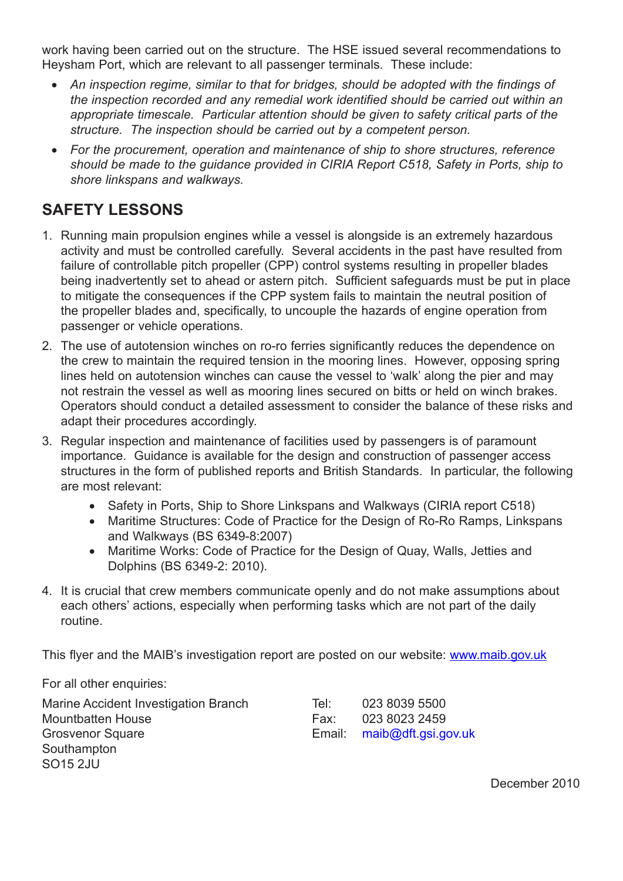work having been carried out on the structure. The HSE issued several recommendations to Heysham Port, which are relevant to all passenger terminals. These include:

- An inspection regime, similar to that for bridges, should be adopted with the findings of *the inspection recorded and any remedial work identified should be carried out within an appropriate timescale. Particular attention should be given to safety critical parts of the structure. The inspection should be carried out by a competent person.*
- • *For the procurement, operation and maintenance of ship to shore structures, reference should be made to the guidance provided in CIRIA Report C518, Safety in Ports, ship to shore linkspans and walkways.*

## **SAFETY LESSONS**

- 1. Running main propulsion engines while a vessel is alongside is an extremely hazardous activity and must be controlled carefully. Several accidents in the past have resulted from failure of controllable pitch propeller (CPP) control systems resulting in propeller blades being inadvertently set to ahead or astern pitch. Sufficient safeguards must be put in place to mitigate the consequences if the CPP system fails to maintain the neutral position of the propeller blades and, specifically, to uncouple the hazards of engine operation from passenger or vehicle operations.
- 2. The use of autotension winches on ro-ro ferries significantly reduces the dependence on the crew to maintain the required tension in the mooring lines. However, opposing spring lines held on autotension winches can cause the vessel to 'walk' along the pier and may not restrain the vessel as well as mooring lines secured on bitts or held on winch brakes. Operators should conduct a detailed assessment to consider the balance of these risks and adapt their procedures accordingly.
- 3. Regular inspection and maintenance of facilities used by passengers is of paramount importance. Guidance is available for the design and construction of passenger access structures in the form of published reports and British Standards. In particular, the following are most relevant:
	- Safety in Ports, Ship to Shore Linkspans and Walkways (CIRIA report C518)
	- Maritime Structures: Code of Practice for the Design of Ro-Ro Ramps, Linkspans and Walkways (BS 6349-8:2007)
	- Maritime Works: Code of Practice for the Design of Quay, Walls, Jetties and Dolphins (BS 6349-2: 2010).
- 4. It is crucial that crew members communicate openly and do not make assumptions about each others' actions, especially when performing tasks which are not part of the daily routine.

This flyer and the MAIB's investigation report are posted on our website: www.maib.gov.uk

For all other enquiries:

Marine Accident Investigation Branch Tel: 023 8039 5500 Mountbatten House Fax: 023 8023 2459 Grosvenor Square **Email:** maib@dft.gsi.gov.uk Southampton SO15 2JU

December 2010